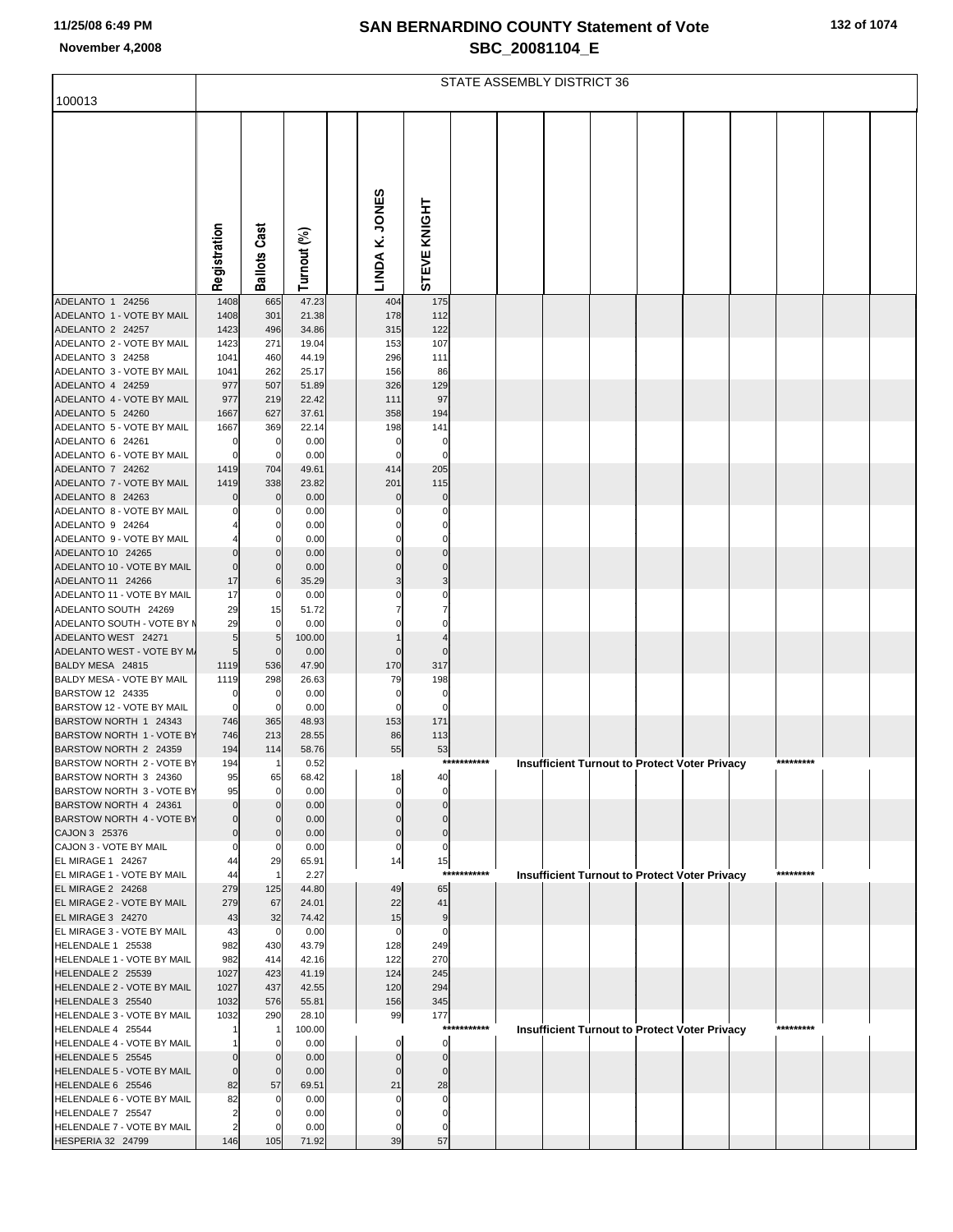|  |  | 132 of 1074 |  |
|--|--|-------------|--|
|--|--|-------------|--|

|                                                        | STATE ASSEMBLY DISTRICT 36 |                     |                |  |                  |                            |             |  |  |  |  |                                                      |  |           |  |  |
|--------------------------------------------------------|----------------------------|---------------------|----------------|--|------------------|----------------------------|-------------|--|--|--|--|------------------------------------------------------|--|-----------|--|--|
| 100013                                                 |                            |                     |                |  |                  |                            |             |  |  |  |  |                                                      |  |           |  |  |
|                                                        | Registration               | <b>Ballots Cast</b> | Turnout (%)    |  | LINDA K. JONES   | STEVE KNIGHT               |             |  |  |  |  |                                                      |  |           |  |  |
| ADELANTO 1 24256                                       | 1408                       | 665                 | 47.23          |  | 404              | 175                        |             |  |  |  |  |                                                      |  |           |  |  |
| ADELANTO 1 - VOTE BY MAIL<br>ADELANTO 2 24257          | 1408<br>1423               | 301<br>496          | 21.38<br>34.86 |  | 178<br>315       | 112<br>122                 |             |  |  |  |  |                                                      |  |           |  |  |
| ADELANTO 2 - VOTE BY MAIL                              | 1423                       | 271                 | 19.04          |  | 153              | 107                        |             |  |  |  |  |                                                      |  |           |  |  |
| ADELANTO 3 24258                                       | 1041                       | 460                 | 44.19          |  | 296              | 111                        |             |  |  |  |  |                                                      |  |           |  |  |
| ADELANTO 3 - VOTE BY MAIL                              | 1041                       | 262                 | 25.17          |  | 156              | 86                         |             |  |  |  |  |                                                      |  |           |  |  |
| ADELANTO 4 24259<br>ADELANTO 4 - VOTE BY MAIL          | 977<br>977                 | 507<br>219          | 51.89<br>22.42 |  | 326<br>111       | 129<br>97                  |             |  |  |  |  |                                                      |  |           |  |  |
| ADELANTO 5 24260                                       | 1667                       | 627                 | 37.61          |  | 358              | 194                        |             |  |  |  |  |                                                      |  |           |  |  |
| ADELANTO 5 - VOTE BY MAIL                              | 1667                       | 369                 | 22.14          |  | 198              | 141                        |             |  |  |  |  |                                                      |  |           |  |  |
| ADELANTO 6 24261                                       | $\Omega$                   | 0                   | 0.00           |  | $\Omega$         | 0                          |             |  |  |  |  |                                                      |  |           |  |  |
| ADELANTO 6 - VOTE BY MAIL                              | $\Omega$                   | $\mathbf 0$         | 0.00           |  | $\Omega$         | $\mathbf 0$                |             |  |  |  |  |                                                      |  |           |  |  |
| ADELANTO 7 24262                                       | 1419                       | 704                 | 49.61          |  | 414              | 205                        |             |  |  |  |  |                                                      |  |           |  |  |
| ADELANTO 7 - VOTE BY MAIL<br>ADELANTO 8 24263          | 1419                       | 338                 | 23.82          |  | 201<br>$\Omega$  | 115                        |             |  |  |  |  |                                                      |  |           |  |  |
| ADELANTO 8 - VOTE BY MAIL                              |                            | $\mathbf 0$<br>C    | 0.00<br>0.00   |  |                  | 0<br>0                     |             |  |  |  |  |                                                      |  |           |  |  |
| ADELANTO 9 24264                                       |                            |                     | 0.00           |  |                  | 0                          |             |  |  |  |  |                                                      |  |           |  |  |
| ADELANTO 9 - VOTE BY MAIL                              |                            |                     | 0.00           |  |                  | 0                          |             |  |  |  |  |                                                      |  |           |  |  |
| ADELANTO 10 24265                                      |                            | $\Omega$            | 0.00           |  |                  |                            |             |  |  |  |  |                                                      |  |           |  |  |
| ADELANTO 10 - VOTE BY MAIL                             | $\mathbf 0$                | 0                   | 0.00           |  |                  | $\Omega$                   |             |  |  |  |  |                                                      |  |           |  |  |
| ADELANTO 11 24266<br>ADELANTO 11 - VOTE BY MAIL        | 17<br>17                   | 6<br>0              | 35.29<br>0.00  |  |                  | 3<br>0                     |             |  |  |  |  |                                                      |  |           |  |  |
| ADELANTO SOUTH 24269                                   | 29                         | 15                  | 51.72          |  |                  |                            |             |  |  |  |  |                                                      |  |           |  |  |
| ADELANTO SOUTH - VOTE BY M                             | 29                         | 0                   | 0.00           |  |                  | 0                          |             |  |  |  |  |                                                      |  |           |  |  |
| ADELANTO WEST 24271                                    | 5                          | 5                   | 100.00         |  |                  |                            |             |  |  |  |  |                                                      |  |           |  |  |
| ADELANTO WEST - VOTE BY M.                             | 5                          | $\Omega$            | 0.00           |  | $\Omega$         | $\Omega$                   |             |  |  |  |  |                                                      |  |           |  |  |
| BALDY MESA 24815<br>BALDY MESA - VOTE BY MAIL          | 1119<br>1119               | 536<br>298          | 47.90<br>26.63 |  | 170<br>79        | 317<br>198                 |             |  |  |  |  |                                                      |  |           |  |  |
| BARSTOW 12 24335                                       | $\mathbf 0$                | 0                   | 0.00           |  | 0                | 0                          |             |  |  |  |  |                                                      |  |           |  |  |
| BARSTOW 12 - VOTE BY MAIL                              | $\mathbf 0$                | C.                  | 0.00           |  | $\Omega$         | $\mathbf 0$                |             |  |  |  |  |                                                      |  |           |  |  |
| BARSTOW NORTH 1 24343                                  | 746                        | 365                 | 48.93          |  | 153              | 171                        |             |  |  |  |  |                                                      |  |           |  |  |
| BARSTOW NORTH 1 - VOTE BY                              | 746                        | 213                 | 28.55          |  | 86               | 113                        |             |  |  |  |  |                                                      |  |           |  |  |
| BARSTOW NORTH 2 24359<br>BARSTOW NORTH 2 - VOTE BY     | 194<br>194                 | 114<br>$\mathbf{1}$ | 58.76<br>0.52  |  | 55               | 53                         | *********** |  |  |  |  | <b>Insufficient Turnout to Protect Voter Privacy</b> |  | ********* |  |  |
| BARSTOW NORTH 3 24360                                  | 95                         | 65                  | 68.42          |  | 18               | 40                         |             |  |  |  |  |                                                      |  |           |  |  |
| BARSTOW NORTH 3 - VOTE BY                              | 95                         | $\Omega$            | 0.00           |  | $\Omega$         | $\Omega$                   |             |  |  |  |  |                                                      |  |           |  |  |
| BARSTOW NORTH 4 24361                                  | $\Omega$                   | $\Omega$            | 0.00           |  |                  |                            |             |  |  |  |  |                                                      |  |           |  |  |
| BARSTOW NORTH 4 - VOTE BY                              | $\Omega$                   | $\Omega$            | 0.00           |  | 0                | $\Omega$                   |             |  |  |  |  |                                                      |  |           |  |  |
| CAJON 3 25376<br>CAJON 3 - VOTE BY MAIL                | $\mathbf 0$<br>0           | 0<br>0              | 0.00<br>0.00   |  | $\mathbf 0$<br>0 | $\Omega$<br>$\overline{0}$ |             |  |  |  |  |                                                      |  |           |  |  |
| EL MIRAGE 1 24267                                      | 44                         | 29                  | 65.91          |  | 14               | 15                         |             |  |  |  |  |                                                      |  |           |  |  |
| EL MIRAGE 1 - VOTE BY MAIL                             | 44                         | $\overline{1}$      | 2.27           |  |                  | $***$                      | ******      |  |  |  |  | <b>Insufficient Turnout to Protect Voter Privacy</b> |  | ********* |  |  |
| <b>EL MIRAGE 2 24268</b>                               | 279                        | 125                 | 44.80          |  | 49               | 65                         |             |  |  |  |  |                                                      |  |           |  |  |
| EL MIRAGE 2 - VOTE BY MAIL<br><b>EL MIRAGE 3 24270</b> | 279                        | 67                  | 24.01          |  | 22               | 41                         |             |  |  |  |  |                                                      |  |           |  |  |
| EL MIRAGE 3 - VOTE BY MAIL                             | 43<br>43                   | 32<br>0             | 74.42<br>0.00  |  | 15<br>0          | 9<br>0                     |             |  |  |  |  |                                                      |  |           |  |  |
| HELENDALE 1 25538                                      | 982                        | 430                 | 43.79          |  | 128              | 249                        |             |  |  |  |  |                                                      |  |           |  |  |
| HELENDALE 1 - VOTE BY MAIL                             | 982                        | 414                 | 42.16          |  | 122              | 270                        |             |  |  |  |  |                                                      |  |           |  |  |
| HELENDALE 2 25539                                      | 1027                       | 423                 | 41.19          |  | 124              | 245                        |             |  |  |  |  |                                                      |  |           |  |  |
| HELENDALE 2 - VOTE BY MAIL                             | 1027                       | 437                 | 42.55          |  | 120              | 294                        |             |  |  |  |  |                                                      |  |           |  |  |
| HELENDALE 3 25540<br>HELENDALE 3 - VOTE BY MAIL        | 1032<br>1032               | 576<br>290          | 55.81<br>28.10 |  | 156<br>99        | 345<br>177                 |             |  |  |  |  |                                                      |  |           |  |  |
| HELENDALE 4 25544                                      |                            | $\overline{1}$      | 100.00         |  |                  | ****                       | *******     |  |  |  |  | <b>Insufficient Turnout to Protect Voter Privacy</b> |  | ********* |  |  |
| HELENDALE 4 - VOTE BY MAIL                             |                            | $\mathbf 0$         | 0.00           |  | 0                | $\overline{0}$             |             |  |  |  |  |                                                      |  |           |  |  |
| HELENDALE 5 25545                                      |                            | 0                   | 0.00           |  |                  | $\Omega$                   |             |  |  |  |  |                                                      |  |           |  |  |
| HELENDALE 5 - VOTE BY MAIL                             | $\mathbf 0$                | $\mathbf 0$         | 0.00           |  | $\Omega$         | $\Omega$                   |             |  |  |  |  |                                                      |  |           |  |  |
| HELENDALE 6 25546<br>HELENDALE 6 - VOTE BY MAIL        | 82<br>82                   | 57<br>C             | 69.51<br>0.00  |  | 21               | 28<br>0                    |             |  |  |  |  |                                                      |  |           |  |  |
| HELENDALE 7 25547                                      | 2                          |                     | 0.00           |  |                  | 0                          |             |  |  |  |  |                                                      |  |           |  |  |
| HELENDALE 7 - VOTE BY MAIL                             | $\overline{2}$             |                     | 0.00           |  |                  |                            |             |  |  |  |  |                                                      |  |           |  |  |
| HESPERIA 32 24799                                      | 146                        | 105                 | 71.92          |  | 39               | 57                         |             |  |  |  |  |                                                      |  |           |  |  |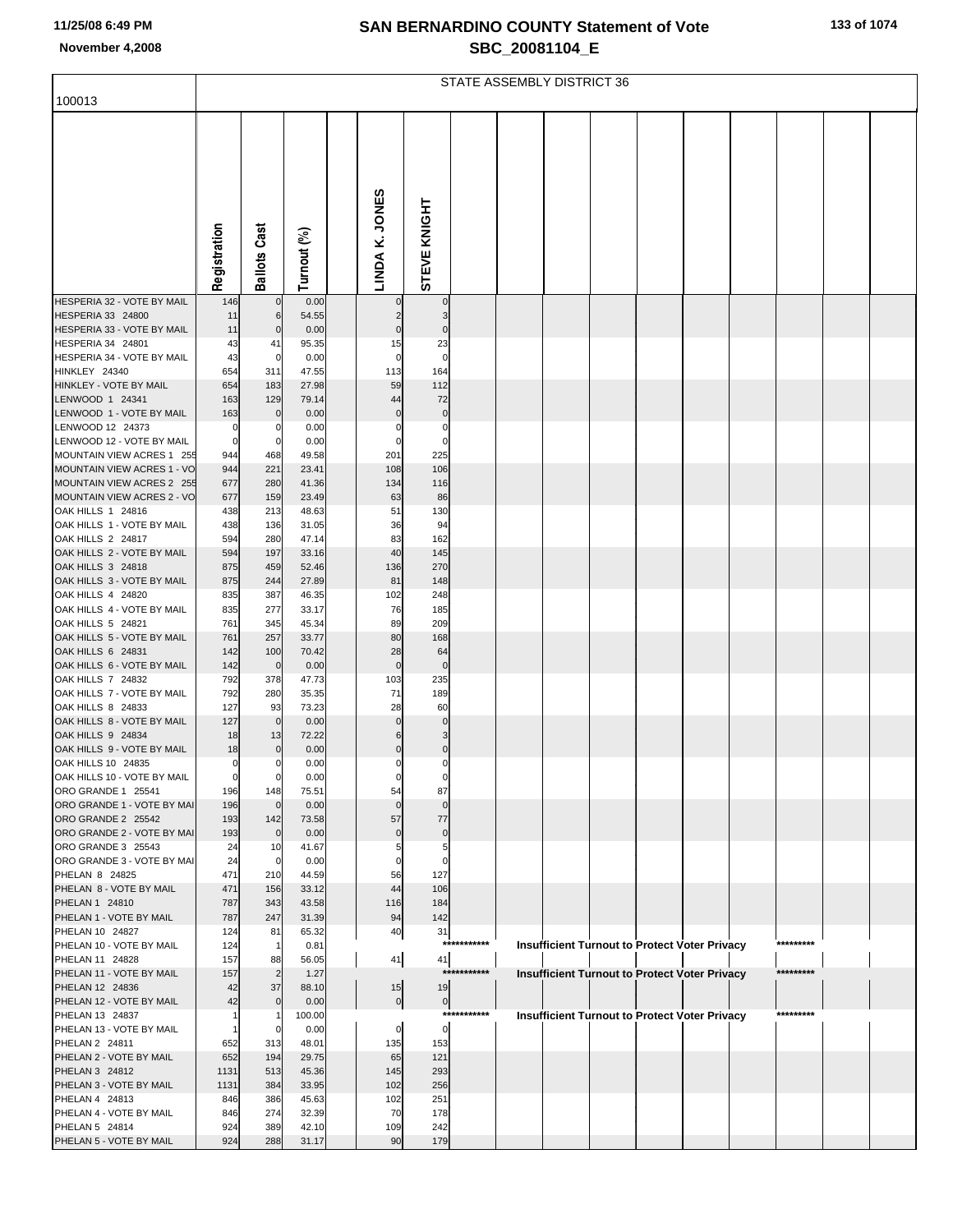r

| ent of Vote | 133 of 1074 |
|-------------|-------------|
|             |             |

| 100013                                                  | STATE ASSEMBLY DISTRICT 36 |                       |                |  |                            |                     |             |  |  |  |  |                                                      |  |           |  |  |
|---------------------------------------------------------|----------------------------|-----------------------|----------------|--|----------------------------|---------------------|-------------|--|--|--|--|------------------------------------------------------|--|-----------|--|--|
|                                                         |                            |                       |                |  |                            |                     |             |  |  |  |  |                                                      |  |           |  |  |
|                                                         |                            |                       |                |  |                            |                     |             |  |  |  |  |                                                      |  |           |  |  |
|                                                         |                            |                       |                |  |                            |                     |             |  |  |  |  |                                                      |  |           |  |  |
|                                                         |                            |                       |                |  |                            |                     |             |  |  |  |  |                                                      |  |           |  |  |
|                                                         |                            |                       |                |  |                            |                     |             |  |  |  |  |                                                      |  |           |  |  |
|                                                         |                            |                       |                |  |                            |                     |             |  |  |  |  |                                                      |  |           |  |  |
|                                                         |                            |                       |                |  |                            |                     |             |  |  |  |  |                                                      |  |           |  |  |
|                                                         | Registration               | <b>Ballots Cast</b>   | Turnout (%)    |  | LINDA K. JONES             | STEVE KNIGHT        |             |  |  |  |  |                                                      |  |           |  |  |
|                                                         |                            |                       |                |  |                            |                     |             |  |  |  |  |                                                      |  |           |  |  |
| HESPERIA 32 - VOTE BY MAIL                              | 146                        | $\mathbf 0$           | 0.00           |  |                            | 0                   |             |  |  |  |  |                                                      |  |           |  |  |
| HESPERIA 33 24800<br>HESPERIA 33 - VOTE BY MAIL         | 11<br>11                   | 6<br>$\mathbf 0$      | 54.55<br>0.00  |  | $\overline{2}$<br>$\Omega$ | 3<br>$\Omega$       |             |  |  |  |  |                                                      |  |           |  |  |
| HESPERIA 34 24801                                       | 43                         | 41                    | 95.35          |  | 15                         | 23                  |             |  |  |  |  |                                                      |  |           |  |  |
| HESPERIA 34 - VOTE BY MAIL<br>HINKLEY 24340             | 43<br>654                  | $\overline{0}$<br>311 | 0.00<br>47.55  |  | $\mathbf 0$<br>113         | $\Omega$<br>164     |             |  |  |  |  |                                                      |  |           |  |  |
| HINKLEY - VOTE BY MAIL                                  | 654                        | 183                   | 27.98          |  | 59                         | 112                 |             |  |  |  |  |                                                      |  |           |  |  |
| LENWOOD 1 24341                                         | 163                        | 129                   | 79.14          |  | 44                         | 72                  |             |  |  |  |  |                                                      |  |           |  |  |
| LENWOOD 1 - VOTE BY MAIL<br>LENWOOD 12 24373            | 163<br>0                   | $\mathbf 0$<br>0      | 0.00<br>0.00   |  | $\Omega$<br>$\Omega$       | $\mathbf 0$<br>0    |             |  |  |  |  |                                                      |  |           |  |  |
| LENWOOD 12 - VOTE BY MAIL                               | $\mathbf 0$                | 0                     | 0.00           |  |                            | $\Omega$            |             |  |  |  |  |                                                      |  |           |  |  |
| MOUNTAIN VIEW ACRES 1 255<br>MOUNTAIN VIEW ACRES 1 - VO | 944<br>944                 | 468<br>221            | 49.58<br>23.41 |  | 201<br>108                 | 225<br>106          |             |  |  |  |  |                                                      |  |           |  |  |
| MOUNTAIN VIEW ACRES 2 255                               | 677                        | 280                   | 41.36          |  | 134                        | 116                 |             |  |  |  |  |                                                      |  |           |  |  |
| MOUNTAIN VIEW ACRES 2 - VO                              | 677                        | 159                   | 23.49          |  | 63                         | 86                  |             |  |  |  |  |                                                      |  |           |  |  |
| OAK HILLS 1 24816<br>OAK HILLS 1 - VOTE BY MAIL         | 438<br>438                 | 213<br>136            | 48.63<br>31.05 |  | 51<br>36                   | 130<br>94           |             |  |  |  |  |                                                      |  |           |  |  |
| OAK HILLS 2 24817                                       | 594                        | 280                   | 47.14          |  | 83                         | 162                 |             |  |  |  |  |                                                      |  |           |  |  |
| OAK HILLS 2 - VOTE BY MAIL<br>OAK HILLS 3 24818         | 594<br>875                 | 197                   | 33.16          |  | 40                         | 145                 |             |  |  |  |  |                                                      |  |           |  |  |
| OAK HILLS 3 - VOTE BY MAIL                              | 875                        | 459<br>244            | 52.46<br>27.89 |  | 136<br>81                  | 270<br>148          |             |  |  |  |  |                                                      |  |           |  |  |
| OAK HILLS 4 24820                                       | 835                        | 387                   | 46.35          |  | 102                        | 248                 |             |  |  |  |  |                                                      |  |           |  |  |
| OAK HILLS 4 - VOTE BY MAIL<br>OAK HILLS 5 24821         | 835<br>761                 | 277<br>345            | 33.17<br>45.34 |  | 76<br>89                   | 185<br>209          |             |  |  |  |  |                                                      |  |           |  |  |
| OAK HILLS 5 - VOTE BY MAIL                              | 761                        | 257                   | 33.77          |  | 80                         | 168                 |             |  |  |  |  |                                                      |  |           |  |  |
| OAK HILLS 6 24831<br>OAK HILLS 6 - VOTE BY MAIL         | 142<br>142                 | 100<br>$\mathbf 0$    | 70.42<br>0.00  |  | 28<br>$\mathbf 0$          | 64<br>$\mathbf{0}$  |             |  |  |  |  |                                                      |  |           |  |  |
| <b>OAK HILLS 7 24832</b>                                | 792                        | 378                   | 47.73          |  | 103                        | 235                 |             |  |  |  |  |                                                      |  |           |  |  |
| OAK HILLS 7 - VOTE BY MAIL                              | 792                        | 280                   | 35.35          |  | 71                         | 189                 |             |  |  |  |  |                                                      |  |           |  |  |
| OAK HILLS 8 24833<br>OAK HILLS 8 - VOTE BY MAIL         | 127<br>127                 | 93<br>$\mathbf 0$     | 73.23<br>0.00  |  | 28<br>$\mathbf{0}$         | 60<br>$\mathbf{0}$  |             |  |  |  |  |                                                      |  |           |  |  |
| OAK HILLS 9 24834                                       | 18                         | 13                    | 72.22          |  | 6                          | 3                   |             |  |  |  |  |                                                      |  |           |  |  |
| OAK HILLS 9 - VOTE BY MAIL<br>OAK HILLS 10 24835        | 18<br>$\overline{0}$       | $\mathbf 0$<br>0      | 0.00<br>0.00   |  | $\Omega$                   | $\overline{0}$<br>0 |             |  |  |  |  |                                                      |  |           |  |  |
| OAK HILLS 10 - VOTE BY MAIL                             |                            |                       | 0.00           |  |                            |                     |             |  |  |  |  |                                                      |  |           |  |  |
| ORO GRANDE 1 25541                                      | 196                        | 148                   | 75.51          |  | 54                         | 87                  |             |  |  |  |  |                                                      |  |           |  |  |
| ORO GRANDE 1 - VOTE BY MAI<br>ORO GRANDE 2 25542        | 196<br>193                 | $\mathbf 0$<br>142    | 0.00<br>73.58  |  | $\mathbf{0}$<br>57         | $\mathbf 0$<br>77   |             |  |  |  |  |                                                      |  |           |  |  |
| ORO GRANDE 2 - VOTE BY MAI                              | 193                        | $\mathbf 0$           | 0.00           |  | $\Omega$                   | $\overline{0}$      |             |  |  |  |  |                                                      |  |           |  |  |
| ORO GRANDE 3 25543<br>ORO GRANDE 3 - VOTE BY MAI        | 24<br>24                   | 10<br>0               | 41.67<br>0.00  |  |                            | 5<br>0              |             |  |  |  |  |                                                      |  |           |  |  |
| PHELAN 8 24825                                          | 471                        | 210                   | 44.59          |  | 56                         | 127                 |             |  |  |  |  |                                                      |  |           |  |  |
| PHELAN 8 - VOTE BY MAIL<br>PHELAN 1 24810               | 471                        | 156<br>343            | 33.12          |  | 44                         | 106<br>184          |             |  |  |  |  |                                                      |  |           |  |  |
| PHELAN 1 - VOTE BY MAIL                                 | 787<br>787                 | 247                   | 43.58<br>31.39 |  | 116<br>94                  | 142                 |             |  |  |  |  |                                                      |  |           |  |  |
| PHELAN 10 24827                                         | 124                        | 81                    | 65.32          |  | 40                         | 31                  |             |  |  |  |  |                                                      |  |           |  |  |
| PHELAN 10 - VOTE BY MAIL<br>PHELAN 11 24828             | 124<br>157                 | $\mathbf{1}$<br>88    | 0.81<br>56.05  |  | 41                         | 41                  | *********** |  |  |  |  | Insufficient Turnout to Protect Voter Privacy        |  | ********* |  |  |
| PHELAN 11 - VOTE BY MAIL                                | 157                        | $\overline{c}$        | 1.27           |  |                            | ****                |             |  |  |  |  | <b>Insufficient Turnout to Protect Voter Privacy</b> |  | ********* |  |  |
| PHELAN 12 24836                                         | 42                         | 37                    | 88.10          |  | 15                         | 19                  |             |  |  |  |  |                                                      |  |           |  |  |
| PHELAN 12 - VOTE BY MAIL<br>PHELAN 13 24837             | 42                         | $\mathbf 0$           | 0.00<br>100.00 |  | $\overline{0}$             | 0                   | *********** |  |  |  |  | <b>Insufficient Turnout to Protect Voter Privacy</b> |  | ********* |  |  |
| PHELAN 13 - VOTE BY MAIL                                |                            | 0                     | 0.00           |  | $\overline{0}$             | $\overline{0}$      |             |  |  |  |  |                                                      |  |           |  |  |
| PHELAN 2 24811<br>PHELAN 2 - VOTE BY MAIL               | 652<br>652                 | 313<br>194            | 48.01<br>29.75 |  | 135<br>65                  | 153<br>121          |             |  |  |  |  |                                                      |  |           |  |  |
| PHELAN 3 24812                                          | 1131                       | 513                   | 45.36          |  | 145                        | 293                 |             |  |  |  |  |                                                      |  |           |  |  |
| PHELAN 3 - VOTE BY MAIL<br>PHELAN 4 24813               | 1131<br>846                | 384<br>386            | 33.95          |  | 102<br>102                 | 256<br>251          |             |  |  |  |  |                                                      |  |           |  |  |
| PHELAN 4 - VOTE BY MAIL                                 | 846                        | 274                   | 45.63<br>32.39 |  | 70                         | 178                 |             |  |  |  |  |                                                      |  |           |  |  |
| PHELAN 5 24814                                          | 924                        | 389                   | 42.10          |  | 109                        | 242                 |             |  |  |  |  |                                                      |  |           |  |  |
| PHELAN 5 - VOTE BY MAIL                                 | 924                        | 288                   | 31.17          |  | 90                         | 179                 |             |  |  |  |  |                                                      |  |           |  |  |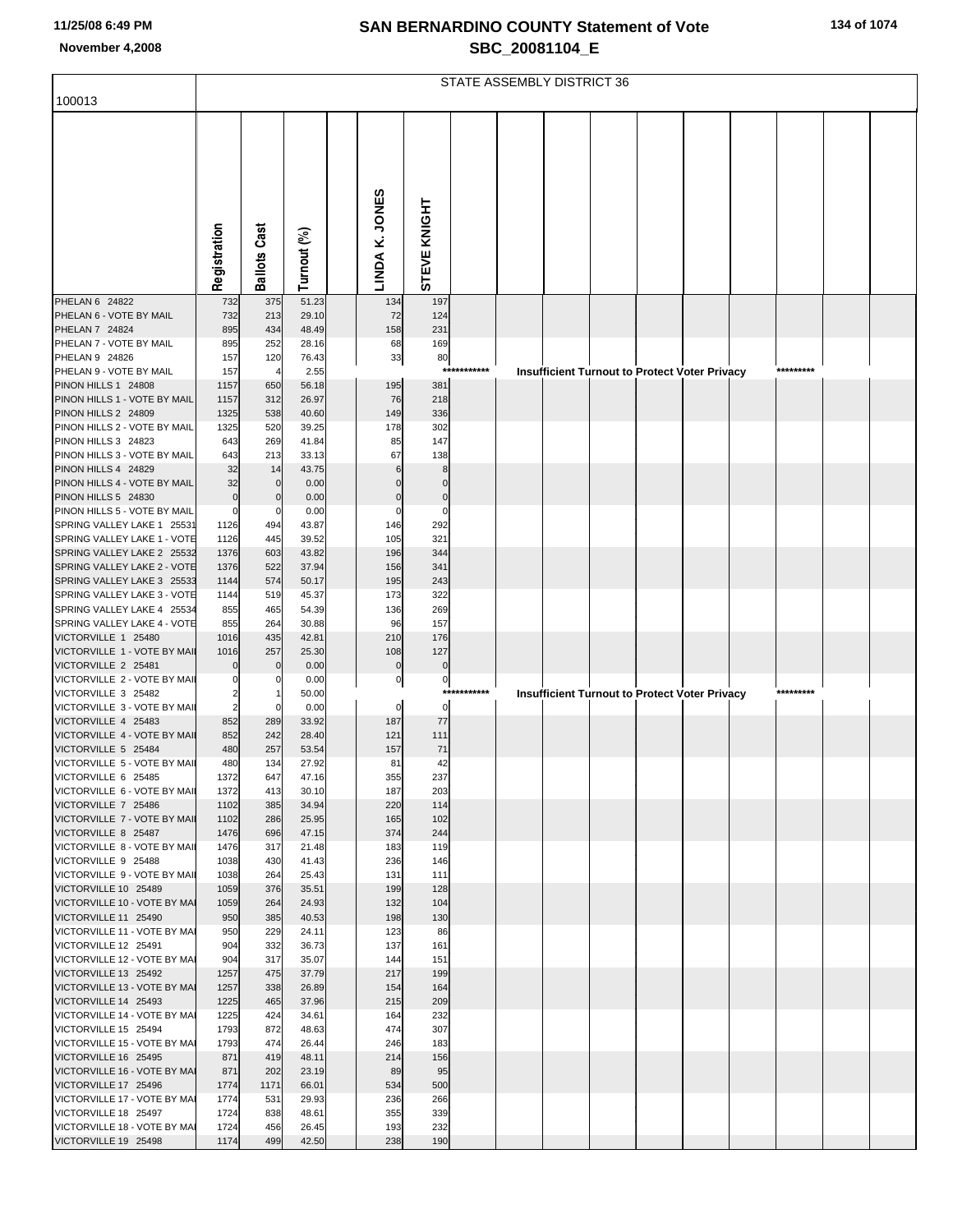|  |  |  | 134 of 1074 |
|--|--|--|-------------|
|--|--|--|-------------|

|                                                            | STATE ASSEMBLY DISTRICT 36 |                     |                |                  |                      |             |  |  |  |  |                                                      |  |           |  |
|------------------------------------------------------------|----------------------------|---------------------|----------------|------------------|----------------------|-------------|--|--|--|--|------------------------------------------------------|--|-----------|--|
| 100013                                                     |                            |                     |                |                  |                      |             |  |  |  |  |                                                      |  |           |  |
|                                                            |                            |                     |                |                  |                      |             |  |  |  |  |                                                      |  |           |  |
|                                                            |                            |                     |                |                  |                      |             |  |  |  |  |                                                      |  |           |  |
|                                                            |                            |                     |                |                  |                      |             |  |  |  |  |                                                      |  |           |  |
|                                                            |                            |                     |                |                  |                      |             |  |  |  |  |                                                      |  |           |  |
|                                                            |                            |                     |                |                  |                      |             |  |  |  |  |                                                      |  |           |  |
|                                                            |                            |                     |                |                  |                      |             |  |  |  |  |                                                      |  |           |  |
|                                                            |                            |                     |                |                  |                      |             |  |  |  |  |                                                      |  |           |  |
|                                                            | Registration               | <b>Ballots Cast</b> |                | LINDA K. JONES   | STEVE KNIGHT         |             |  |  |  |  |                                                      |  |           |  |
|                                                            |                            |                     | Turnout (%)    |                  |                      |             |  |  |  |  |                                                      |  |           |  |
| PHELAN 6 24822                                             | 732                        | 375                 | 51.23          | 134              | 197                  |             |  |  |  |  |                                                      |  |           |  |
| PHELAN 6 - VOTE BY MAIL<br>PHELAN 7 24824                  | 732<br>895                 | 213<br>434          | 29.10<br>48.49 | 72<br>158        | 124<br>231           |             |  |  |  |  |                                                      |  |           |  |
| PHELAN 7 - VOTE BY MAIL                                    | 895                        | 252                 | 28.16          | 68               | 169                  |             |  |  |  |  |                                                      |  |           |  |
| PHELAN 9 24826<br>PHELAN 9 - VOTE BY MAIL                  | 157                        | 120                 | 76.43          | 33               | 80                   | *********** |  |  |  |  |                                                      |  | ********* |  |
| PINON HILLS 1 24808                                        | 157<br>1157                | 650                 | 2.55<br>56.18  | 195              | 381                  |             |  |  |  |  | Insufficient Turnout to Protect Voter Privacy        |  |           |  |
| PINON HILLS 1 - VOTE BY MAIL                               | 1157                       | 312                 | 26.97          | 76               | 218                  |             |  |  |  |  |                                                      |  |           |  |
| PINON HILLS 2 24809<br>PINON HILLS 2 - VOTE BY MAIL        | 1325<br>1325               | 538<br>520          | 40.60<br>39.25 | 149<br>178       | 336<br>302           |             |  |  |  |  |                                                      |  |           |  |
| PINON HILLS 3 24823                                        | 643                        | 269                 | 41.84          | 85               | 147                  |             |  |  |  |  |                                                      |  |           |  |
| PINON HILLS 3 - VOTE BY MAIL                               | 643                        | 213                 | 33.13          | 67               | 138                  |             |  |  |  |  |                                                      |  |           |  |
| PINON HILLS 4 24829<br>PINON HILLS 4 - VOTE BY MAIL        | 32<br>32                   | 14<br>$\mathbf 0$   | 43.75<br>0.00  | 6                | 8<br>$\mathbf 0$     |             |  |  |  |  |                                                      |  |           |  |
| PINON HILLS 5 24830                                        | $\mathbf 0$                | $\mathbf 0$         | 0.00           |                  | $\mathbf 0$          |             |  |  |  |  |                                                      |  |           |  |
| PINON HILLS 5 - VOTE BY MAIL<br>SPRING VALLEY LAKE 1 25531 | 0<br>1126                  | 0<br>494            | 0.00<br>43.87  | $\Omega$<br>146  | 0<br>292             |             |  |  |  |  |                                                      |  |           |  |
| SPRING VALLEY LAKE 1 - VOTE                                | 1126                       | 445                 | 39.52          | 105              | 321                  |             |  |  |  |  |                                                      |  |           |  |
| SPRING VALLEY LAKE 2 25532                                 | 1376                       | 603                 | 43.82          | 196              | 344                  |             |  |  |  |  |                                                      |  |           |  |
| SPRING VALLEY LAKE 2 - VOTE<br>SPRING VALLEY LAKE 3 25533  | 1376<br>1144               | 522<br>574          | 37.94<br>50.17 | 156<br>195       | 341<br>243           |             |  |  |  |  |                                                      |  |           |  |
| SPRING VALLEY LAKE 3 - VOTE                                | 1144                       | 519                 | 45.37          | 173              | 322                  |             |  |  |  |  |                                                      |  |           |  |
| SPRING VALLEY LAKE 4 25534                                 | 855                        | 465                 | 54.39          | 136              | 269                  |             |  |  |  |  |                                                      |  |           |  |
| SPRING VALLEY LAKE 4 - VOTE<br>VICTORVILLE 1 25480         | 855<br>1016                | 264<br>435          | 30.88<br>42.81 | 96<br>210        | 157<br>176           |             |  |  |  |  |                                                      |  |           |  |
| VICTORVILLE 1 - VOTE BY MAIL                               | 1016                       | 257                 | 25.30          | 108              | 127                  |             |  |  |  |  |                                                      |  |           |  |
| VICTORVILLE 2 25481<br>VICTORVILLE 2 - VOTE BY MAIL        | $\epsilon$                 |                     | 0.00<br>0.00   | $\mathbf 0$<br>0 | $\bf 0$<br>$\pmb{0}$ |             |  |  |  |  |                                                      |  |           |  |
| VICTORVILLE 3 25482                                        |                            |                     | 50.00          |                  |                      | *********** |  |  |  |  | <b>Insufficient Turnout to Protect Voter Privacy</b> |  | ********* |  |
| VICTORVILLE 3 - VOTE BY MAII                               |                            | 0                   | 0.00           | $\overline{0}$   | $\overline{0}$       |             |  |  |  |  |                                                      |  |           |  |
| VICTORVILLE 4 25483<br>VICTORVILLE 4 - VOTE BY MAII        | 852<br>852                 | 289<br>242          | 33.92<br>28.40 | 187<br>121       | 77<br>111            |             |  |  |  |  |                                                      |  |           |  |
| VICTORVILLE 5 25484                                        | 480                        | 257                 | 53.54          | 157              | 71                   |             |  |  |  |  |                                                      |  |           |  |
| VICTORVILLE 5 - VOTE BY MAIL<br>VICTORVILLE 6 25485        | 480<br>1372                | 134<br>647          | 27.92<br>47.16 | 81<br>355        | 42<br>237            |             |  |  |  |  |                                                      |  |           |  |
| VICTORVILLE 6 - VOTE BY MAII                               | 1372                       | 413                 | 30.10          | 187              | 203                  |             |  |  |  |  |                                                      |  |           |  |
| VICTORVILLE 7 25486                                        | 1102                       | 385                 | 34.94          | 220              | 114                  |             |  |  |  |  |                                                      |  |           |  |
| VICTORVILLE 7 - VOTE BY MAIL<br>VICTORVILLE 8 25487        | 1102<br>1476               | 286<br>696          | 25.95<br>47.15 | 165<br>374       | 102<br>244           |             |  |  |  |  |                                                      |  |           |  |
| VICTORVILLE 8 - VOTE BY MAIL                               | 1476                       | 317                 | 21.48          | 183              | 119                  |             |  |  |  |  |                                                      |  |           |  |
| VICTORVILLE 9 25488<br>VICTORVILLE 9 - VOTE BY MAIL        | 1038<br>1038               | 430<br>264          | 41.43<br>25.43 | 236<br>131       | 146<br>111           |             |  |  |  |  |                                                      |  |           |  |
| VICTORVILLE 10 25489                                       | 1059                       | 376                 | 35.51          | 199              | 128                  |             |  |  |  |  |                                                      |  |           |  |
| VICTORVILLE 10 - VOTE BY MAI<br>VICTORVILLE 11 25490       | 1059                       | 264                 | 24.93          | 132<br>198       | 104                  |             |  |  |  |  |                                                      |  |           |  |
| VICTORVILLE 11 - VOTE BY MAI                               | 950<br>950                 | 385<br>229          | 40.53<br>24.11 | 123              | 130<br>86            |             |  |  |  |  |                                                      |  |           |  |
| VICTORVILLE 12 25491                                       | 904                        | 332                 | 36.73          | 137              | 161                  |             |  |  |  |  |                                                      |  |           |  |
| VICTORVILLE 12 - VOTE BY MAI<br>VICTORVILLE 13 25492       | 904<br>1257                | 317<br>475          | 35.07<br>37.79 | 144<br>217       | 151<br>199           |             |  |  |  |  |                                                      |  |           |  |
| VICTORVILLE 13 - VOTE BY MAI                               | 1257                       | 338                 | 26.89          | 154              | 164                  |             |  |  |  |  |                                                      |  |           |  |
| VICTORVILLE 14 25493                                       | 1225                       | 465                 | 37.96          | 215              | 209                  |             |  |  |  |  |                                                      |  |           |  |
| VICTORVILLE 14 - VOTE BY MAI<br>VICTORVILLE 15 25494       | 1225<br>1793               | 424<br>872          | 34.61<br>48.63 | 164<br>474       | 232<br>307           |             |  |  |  |  |                                                      |  |           |  |
| VICTORVILLE 15 - VOTE BY MAI                               | 1793                       | 474                 | 26.44          | 246              | 183                  |             |  |  |  |  |                                                      |  |           |  |
| VICTORVILLE 16 25495<br>VICTORVILLE 16 - VOTE BY MAI       | 871<br>871                 | 419<br>202          | 48.11<br>23.19 | 214<br>89        | 156<br>95            |             |  |  |  |  |                                                      |  |           |  |
| VICTORVILLE 17 25496                                       | 1774                       | 1171                | 66.01          | 534              | 500                  |             |  |  |  |  |                                                      |  |           |  |
| VICTORVILLE 17 - VOTE BY MAI                               | 1774                       | 531                 | 29.93          | 236              | 266                  |             |  |  |  |  |                                                      |  |           |  |
| VICTORVILLE 18 25497<br>VICTORVILLE 18 - VOTE BY MAI       | 1724<br>1724               | 838<br>456          | 48.61<br>26.45 | 355<br>193       | 339<br>232           |             |  |  |  |  |                                                      |  |           |  |
| VICTORVILLE 19 25498                                       | 1174                       | 499                 | 42.50          | 238              | 190                  |             |  |  |  |  |                                                      |  |           |  |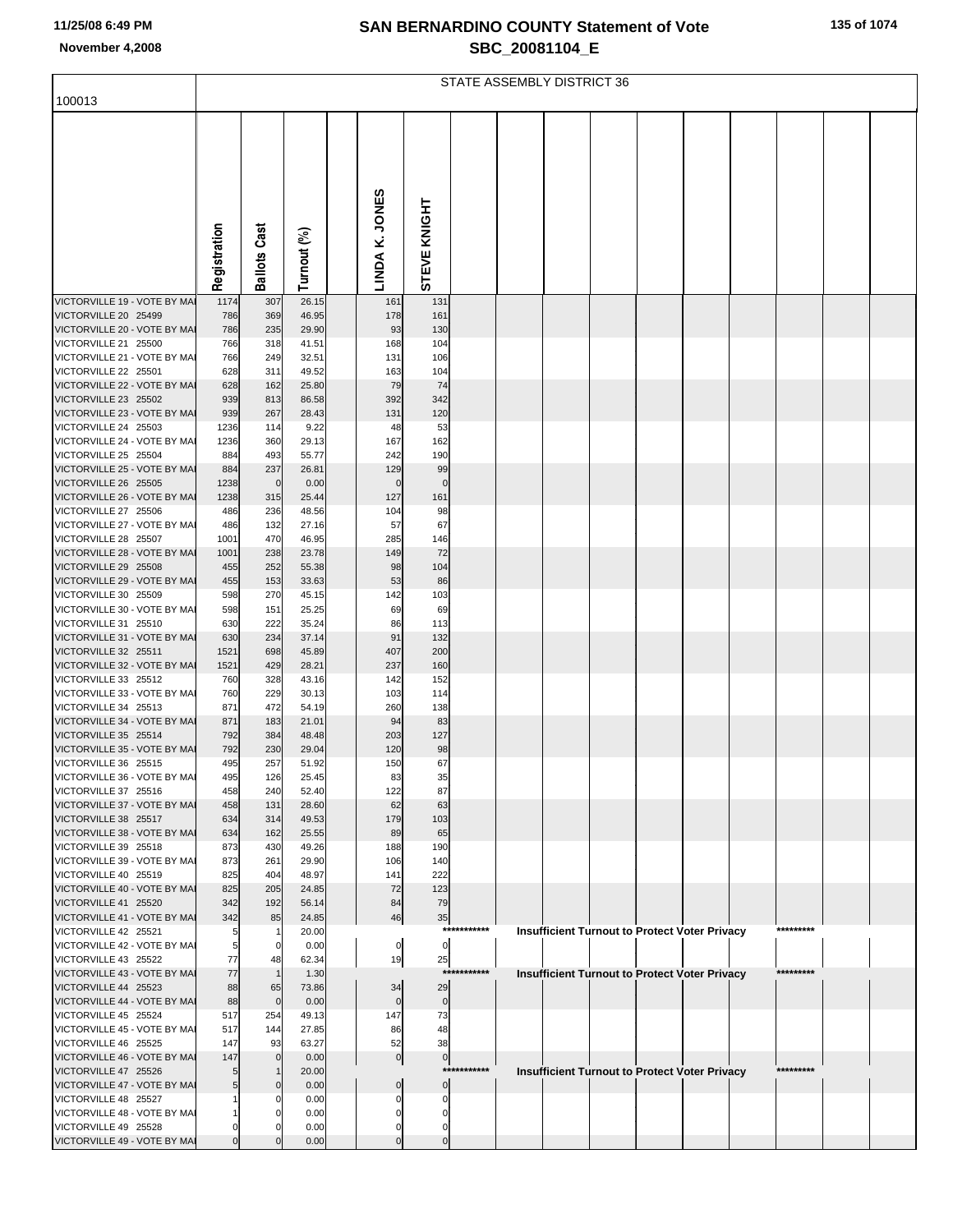| 135 of 1074 |  |
|-------------|--|
|-------------|--|

|                                                      |                | STATE ASSEMBLY DISTRICT 36 |                |  |                   |                   |             |  |  |  |  |                                                      |  |           |  |
|------------------------------------------------------|----------------|----------------------------|----------------|--|-------------------|-------------------|-------------|--|--|--|--|------------------------------------------------------|--|-----------|--|
| 100013                                               |                |                            |                |  |                   |                   |             |  |  |  |  |                                                      |  |           |  |
|                                                      | Registration   | <b>Ballots Cast</b>        | Turnout (%)    |  | LINDA K. JONES    | STEVE KNIGHT      |             |  |  |  |  |                                                      |  |           |  |
| VICTORVILLE 19 - VOTE BY MAI                         | 1174           | 307                        | 26.15          |  | 161               | 131               |             |  |  |  |  |                                                      |  |           |  |
| VICTORVILLE 20 25499                                 | 786            | 369                        | 46.95          |  | 178               | 161               |             |  |  |  |  |                                                      |  |           |  |
| VICTORVILLE 20 - VOTE BY MAI                         | 786            | 235                        | 29.90          |  | 93                | 130               |             |  |  |  |  |                                                      |  |           |  |
| VICTORVILLE 21 25500<br>VICTORVILLE 21 - VOTE BY MAI | 766            | 318                        | 41.51          |  | 168               | 104               |             |  |  |  |  |                                                      |  |           |  |
| VICTORVILLE 22 25501                                 | 766<br>628     | 249<br>311                 | 32.51<br>49.52 |  | 131<br>163        | 106<br>104        |             |  |  |  |  |                                                      |  |           |  |
| VICTORVILLE 22 - VOTE BY MAI                         | 628            | 162                        | 25.80          |  | 79                | 74                |             |  |  |  |  |                                                      |  |           |  |
| VICTORVILLE 23 25502                                 | 939            | 813                        | 86.58          |  | 392               | 342               |             |  |  |  |  |                                                      |  |           |  |
| VICTORVILLE 23 - VOTE BY MAI                         | 939            | 267                        | 28.43          |  | 131               | 120               |             |  |  |  |  |                                                      |  |           |  |
| VICTORVILLE 24 25503<br>VICTORVILLE 24 - VOTE BY MAI | 1236<br>1236   | 114<br>360                 | 9.22<br>29.13  |  | 48<br>167         | 53<br>162         |             |  |  |  |  |                                                      |  |           |  |
| VICTORVILLE 25 25504                                 | 884            | 493                        | 55.77          |  | 242               | 190               |             |  |  |  |  |                                                      |  |           |  |
| VICTORVILLE 25 - VOTE BY MAI                         | 884            | 237                        | 26.81          |  | 129               | 99                |             |  |  |  |  |                                                      |  |           |  |
| VICTORVILLE 26 25505                                 | 1238           | $\mathbf 0$                | 0.00           |  | $\mathbf 0$       | $\mathbf 0$       |             |  |  |  |  |                                                      |  |           |  |
| VICTORVILLE 26 - VOTE BY MAI                         | 1238           | 315                        | 25.44          |  | 127               | 161               |             |  |  |  |  |                                                      |  |           |  |
| VICTORVILLE 27 25506<br>VICTORVILLE 27 - VOTE BY MAI | 486<br>486     | 236<br>132                 | 48.56<br>27.16 |  | 104<br>57         | 98<br>67          |             |  |  |  |  |                                                      |  |           |  |
| VICTORVILLE 28 25507                                 | 1001           | 470                        | 46.95          |  | 285               | 146               |             |  |  |  |  |                                                      |  |           |  |
| VICTORVILLE 28 - VOTE BY MAI                         | 1001           | 238                        | 23.78          |  | 149               | 72                |             |  |  |  |  |                                                      |  |           |  |
| VICTORVILLE 29 25508                                 | 455            | 252                        | 55.38          |  | 98                | 104               |             |  |  |  |  |                                                      |  |           |  |
| VICTORVILLE 29 - VOTE BY MAI                         | 455            | 153                        | 33.63          |  | 53                | 86                |             |  |  |  |  |                                                      |  |           |  |
| VICTORVILLE 30 25509<br>VICTORVILLE 30 - VOTE BY MAI | 598<br>598     | 270<br>151                 | 45.15<br>25.25 |  | 142<br>69         | 103<br>69         |             |  |  |  |  |                                                      |  |           |  |
| VICTORVILLE 31 25510                                 | 630            | 222                        | 35.24          |  | 86                | 113               |             |  |  |  |  |                                                      |  |           |  |
| VICTORVILLE 31 - VOTE BY MAI                         | 630            | 234                        | 37.14          |  | 91                | 132               |             |  |  |  |  |                                                      |  |           |  |
| VICTORVILLE 32 25511                                 | 1521           | 698                        | 45.89          |  | 407               | 200               |             |  |  |  |  |                                                      |  |           |  |
| VICTORVILLE 32 - VOTE BY MAI<br>VICTORVILLE 33 25512 | 1521           | 429                        | 28.21          |  | 237               | 160               |             |  |  |  |  |                                                      |  |           |  |
| VICTORVILLE 33 - VOTE BY MAI                         | 760<br>760     | 328<br>229                 | 43.16<br>30.13 |  | 142<br>103        | 152<br>114        |             |  |  |  |  |                                                      |  |           |  |
| VICTORVILLE 34 25513                                 | 871            | 472                        | 54.19          |  | 260               | 138               |             |  |  |  |  |                                                      |  |           |  |
| VICTORVILLE 34 - VOTE BY MAI                         | 871            | 183                        | 21.01          |  | 94                | 83                |             |  |  |  |  |                                                      |  |           |  |
| VICTORVILLE 35 25514                                 | 792            | 384                        | 48.48          |  | 203               | 127               |             |  |  |  |  |                                                      |  |           |  |
| VICTORVILLE 35 - VOTE BY MAI<br>VICTORVILLE 36 25515 | 792<br>495     | 230<br>257                 | 29.04<br>51.92 |  | 120<br>150        | 98<br>67          |             |  |  |  |  |                                                      |  |           |  |
| VICTORVILLE 36 - VOTE BY MAI                         | 495            | 126                        | 25.45          |  | 83                | 35                |             |  |  |  |  |                                                      |  |           |  |
| VICTORVILLE 37 25516                                 | 458            | 240                        | 52.40          |  | 122               | 87                |             |  |  |  |  |                                                      |  |           |  |
| VICTORVILLE 37 - VOTE BY MAI                         | 458            | 131                        | 28.60          |  | 62                | 63                |             |  |  |  |  |                                                      |  |           |  |
| VICTORVILLE 38 25517                                 | 634            | 314                        | 49.53          |  | 179               | 103               |             |  |  |  |  |                                                      |  |           |  |
| VICTORVILLE 38 - VOTE BY MAI<br>VICTORVILLE 39 25518 | 634<br>873     | 162<br>430                 | 25.55<br>49.26 |  | 89<br>188         | 65<br>190         |             |  |  |  |  |                                                      |  |           |  |
| VICTORVILLE 39 - VOTE BY MAI                         | 873            | 261                        | 29.90          |  | 106               | 140               |             |  |  |  |  |                                                      |  |           |  |
| VICTORVILLE 40 25519                                 | 825            | 404                        | 48.97          |  | 141               | 222               |             |  |  |  |  |                                                      |  |           |  |
| VICTORVILLE 40 - VOTE BY MAI                         | 825            | 205                        | 24.85          |  | 72                | 123               |             |  |  |  |  |                                                      |  |           |  |
| VICTORVILLE 41 25520<br>VICTORVILLE 41 - VOTE BY MAI | 342<br>342     | 192<br>85                  | 56.14<br>24.85 |  | 84<br>46          | 79<br>35          |             |  |  |  |  |                                                      |  |           |  |
| VICTORVILLE 42 25521                                 | 5              | -1                         | 20.00          |  |                   |                   | *********** |  |  |  |  | <b>Insufficient Turnout to Protect Voter Privacy</b> |  | ********* |  |
| VICTORVILLE 42 - VOTE BY MAI                         | 5              | $\mathbf 0$                | 0.00           |  | $\mathbf 0$       | $\mathbf 0$       |             |  |  |  |  |                                                      |  |           |  |
| VICTORVILLE 43 25522                                 | 77             | 48                         | 62.34          |  | 19                | 25                |             |  |  |  |  |                                                      |  |           |  |
| VICTORVILLE 43 - VOTE BY MAI                         | 77<br>88       | $\mathbf{1}$               | 1.30           |  |                   | ****              | *******     |  |  |  |  | <b>Insufficient Turnout to Protect Voter Privacy</b> |  | ********* |  |
| VICTORVILLE 44 25523<br>VICTORVILLE 44 - VOTE BY MAI | 88             | 65<br>$\overline{0}$       | 73.86<br>0.00  |  | 34<br>$\mathbf 0$ | 29<br>$\mathbf 0$ |             |  |  |  |  |                                                      |  |           |  |
| VICTORVILLE 45 25524                                 | 517            | 254                        | 49.13          |  | 147               | 73                |             |  |  |  |  |                                                      |  |           |  |
| VICTORVILLE 45 - VOTE BY MAI                         | 517            | 144                        | 27.85          |  | 86                | 48                |             |  |  |  |  |                                                      |  |           |  |
| VICTORVILLE 46 25525                                 | 147            | 93                         | 63.27          |  | 52                | 38                |             |  |  |  |  |                                                      |  |           |  |
| VICTORVILLE 46 - VOTE BY MAI<br>VICTORVILLE 47 25526 | 147            | $\Omega$                   | 0.00           |  | $\overline{0}$    | $\pmb{0}$         | *********** |  |  |  |  |                                                      |  | ********* |  |
| VICTORVILLE 47 - VOTE BY MAI                         | 5<br>5         | -1<br>$\Omega$             | 20.00<br>0.00  |  | $\mathbf 0$       | 0                 |             |  |  |  |  | <b>Insufficient Turnout to Protect Voter Privacy</b> |  |           |  |
| VICTORVILLE 48 25527                                 |                | $\Omega$                   | 0.00           |  | O                 | 0                 |             |  |  |  |  |                                                      |  |           |  |
| VICTORVILLE 48 - VOTE BY MAI                         |                |                            | 0.00           |  | O                 | n                 |             |  |  |  |  |                                                      |  |           |  |
| VICTORVILLE 49 25528                                 | 0              | O                          | 0.00           |  | 0                 | U                 |             |  |  |  |  |                                                      |  |           |  |
| VICTORVILLE 49 - VOTE BY MAI                         | $\overline{0}$ |                            | 0.00           |  | $\Omega$          | $\mathbf 0$       |             |  |  |  |  |                                                      |  |           |  |